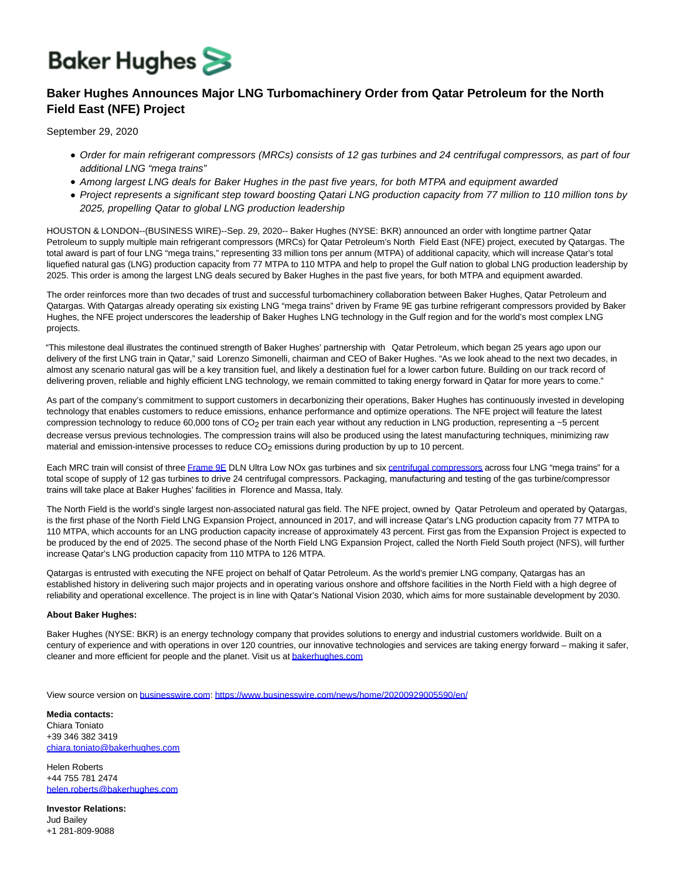## **Baker Hughes**

## **Baker Hughes Announces Major LNG Turbomachinery Order from Qatar Petroleum for the North Field East (NFE) Project**

September 29, 2020

- Order for main refrigerant compressors (MRCs) consists of 12 gas turbines and 24 centrifugal compressors, as part of four additional LNG "mega trains"
- Among largest LNG deals for Baker Hughes in the past five years, for both MTPA and equipment awarded
- Project represents a significant step toward boosting Qatari LNG production capacity from 77 million to 110 million tons by 2025, propelling Qatar to global LNG production leadership

HOUSTON & LONDON--(BUSINESS WIRE)--Sep. 29, 2020-- Baker Hughes (NYSE: BKR) announced an order with longtime partner Qatar Petroleum to supply multiple main refrigerant compressors (MRCs) for Qatar Petroleum's North Field East (NFE) project, executed by Qatargas. The total award is part of four LNG "mega trains," representing 33 million tons per annum (MTPA) of additional capacity, which will increase Qatar's total liquefied natural gas (LNG) production capacity from 77 MTPA to 110 MTPA and help to propel the Gulf nation to global LNG production leadership by 2025. This order is among the largest LNG deals secured by Baker Hughes in the past five years, for both MTPA and equipment awarded.

The order reinforces more than two decades of trust and successful turbomachinery collaboration between Baker Hughes, Qatar Petroleum and Qatargas. With Qatargas already operating six existing LNG "mega trains" driven by Frame 9E gas turbine refrigerant compressors provided by Baker Hughes, the NFE project underscores the leadership of Baker Hughes LNG technology in the Gulf region and for the world's most complex LNG projects.

"This milestone deal illustrates the continued strength of Baker Hughes' partnership with Qatar Petroleum, which began 25 years ago upon our delivery of the first LNG train in Qatar," said Lorenzo Simonelli, chairman and CEO of Baker Hughes. "As we look ahead to the next two decades, in almost any scenario natural gas will be a key transition fuel, and likely a destination fuel for a lower carbon future. Building on our track record of delivering proven, reliable and highly efficient LNG technology, we remain committed to taking energy forward in Qatar for more years to come."

As part of the company's commitment to support customers in decarbonizing their operations, Baker Hughes has continuously invested in developing technology that enables customers to reduce emissions, enhance performance and optimize operations. The NFE project will feature the latest compression technology to reduce 60,000 tons of  $CO<sub>2</sub>$  per train each year without any reduction in LNG production, representing a  $\sim$ 5 percent decrease versus previous technologies. The compression trains will also be produced using the latest manufacturing techniques, minimizing raw material and emission-intensive processes to reduce CO<sub>2</sub> emissions during production by up to 10 percent.

Each MRC train will consist of three [Frame 9E D](https://cts.businesswire.com/ct/CT?id=smartlink&url=https%3A%2F%2Fwww.bakerhughes.com%2Fgas-turbines%2Fframe-technology%2Fframe-91e&esheet=52296872&newsitemid=20200929005590&lan=en-US&anchor=Frame+9E&index=1&md5=87c1dffab3315df04a8e572a15c8ab61)LN Ultra Low NOx gas turbines and six [centrifugal compressors a](https://cts.businesswire.com/ct/CT?id=smartlink&url=https%3A%2F%2Fwww.bakerhughes.com%2Fcentrifugal-axial-compressors&esheet=52296872&newsitemid=20200929005590&lan=en-US&anchor=centrifugal+compressors&index=2&md5=63ca3dea45af6f51079c80b256e82199)cross four LNG "mega trains" for a total scope of supply of 12 gas turbines to drive 24 centrifugal compressors. Packaging, manufacturing and testing of the gas turbine/compressor trains will take place at Baker Hughes' facilities in Florence and Massa, Italy.

The North Field is the world's single largest non-associated natural gas field. The NFE project, owned by Qatar Petroleum and operated by Qatargas, is the first phase of the North Field LNG Expansion Project, announced in 2017, and will increase Qatar's LNG production capacity from 77 MTPA to 110 MTPA, which accounts for an LNG production capacity increase of approximately 43 percent. First gas from the Expansion Project is expected to be produced by the end of 2025. The second phase of the North Field LNG Expansion Project, called the North Field South project (NFS), will further increase Qatar's LNG production capacity from 110 MTPA to 126 MTPA.

Qatargas is entrusted with executing the NFE project on behalf of Qatar Petroleum. As the world's premier LNG company, Qatargas has an established history in delivering such major projects and in operating various onshore and offshore facilities in the North Field with a high degree of reliability and operational excellence. The project is in line with Qatar's National Vision 2030, which aims for more sustainable development by 2030.

## **About Baker Hughes:**

Baker Hughes (NYSE: BKR) is an energy technology company that provides solutions to energy and industrial customers worldwide. Built on a century of experience and with operations in over 120 countries, our innovative technologies and services are taking energy forward – making it safer, cleaner and more efficient for people and the planet. Visit us a[t bakerhughes.com](https://cts.businesswire.com/ct/CT?id=smartlink&url=https%3A%2F%2Fwww.bakerhughes.com%2F&esheet=52296872&newsitemid=20200929005590&lan=en-US&anchor=bakerhughes.com&index=3&md5=ae9c3008589e68ee23eef09aecbd3f4a)

View source version on [businesswire.com:](http://businesswire.com/)<https://www.businesswire.com/news/home/20200929005590/en/>

**Media contacts:** Chiara Toniato +39 346 382 3419 [chiara.toniato@bakerhughes.com](mailto:chiara.toniato@bakerhughes.com)

Helen Roberts +44 755 781 2474 [helen.roberts@bakerhughes.com](mailto:helen.roberts@bakerhughes.com)

**Investor Relations:** Jud Bailey +1 281-809-9088